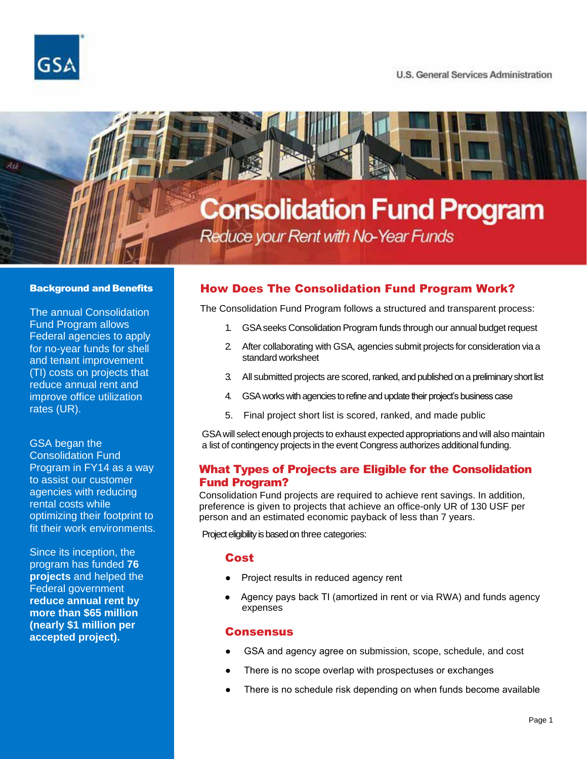



# **Consolidation Fund Program**

Reduce your Rent with No-Year Funds

#### Background and Benefits

The annual Consolidation Fund Program allows Federal agencies to apply for no-year funds for shell and tenant improvement (TI) costs on projects that reduce annual rent and improve office utilization rates (UR).

## GSA began the

Consolidation Fund Program in FY14 as a way to assist our customer agencies with reducing rental costs while optimizing their footprint to fit their work environments.

Since its inception, the program has funded **76 projects** and helped the Federal government **reduce annual rent by more than \$65 million (nearly \$1 million per accepted project).**

## How Does The Consolidation Fund Program Work?

The Consolidation Fund Program follows a structured and transparent process:

- 1. GSAseeks Consolidation Program funds through our annual budget request
- 2. After collaborating with GSA, agencies submit projects for consideration via a standard worksheet
- 3. All submitted projects are scored, ranked, and published on a preliminary short list
- 4. GSA works with agencies to refine and update their project's business case
- 5. Final project short list is scored, ranked, and made public

GSAwill select enough projects to exhaust expected appropriations and will also maintain a list of contingency projects in the event Congress authorizes additional funding.

#### What Types of Projects are Eligible for the Consolidation Fund Program?

Consolidation Fund projects are required to achieve rent savings. In addition, preference is given to projects that achieve an office-only UR of 130 USF per person and an estimated economic payback of less than 7 years.

Project eligibility is based on three categories:

#### **Cost**

- Project results in reduced agency rent
- Agency pays back TI (amortized in rent or via RWA) and funds agency expenses

#### **Consensus**

- GSA and agency agree on submission, scope, schedule, and cost
- There is no scope overlap with prospectuses or exchanges
- There is no schedule risk depending on when funds become available